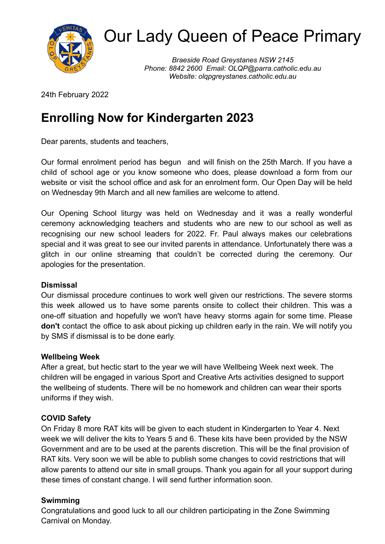

# Our Lady Queen of Peace Primary

*Braeside Road Greystanes NSW 2145 Phone: 8842 2600 Email: OLQP@parra.catholic.edu.au Website: olqpgreystanes.catholic.edu.au*

24th February 2022

# **Enrolling Now for Kindergarten 2023**

Dear parents, students and teachers,

Our formal enrolment period has begun and will finish on the 25th March. If you have a child of school age or you know someone who does, please download a form from our website or visit the school office and ask for an enrolment form. Our Open Day will be held on Wednesday 9th March and all new families are welcome to attend.

Our Opening School liturgy was held on Wednesday and it was a really wonderful ceremony acknowledging teachers and students who are new to our school as well as recognising our new school leaders for 2022. Fr. Paul always makes our celebrations special and it was great to see our invited parents in attendance. Unfortunately there was a glitch in our online streaming that couldn't be corrected during the ceremony. Our apologies for the presentation.

#### **Dismissal**

Our dismissal procedure continues to work well given our restrictions. The severe storms this week allowed us to have some parents onsite to collect their children. This was a one-off situation and hopefully we won't have heavy storms again for some time. Please **don't** contact the office to ask about picking up children early in the rain. We will notify you by SMS if dismissal is to be done early.

#### **Wellbeing Week**

After a great, but hectic start to the year we will have Wellbeing Week next week. The children will be engaged in various Sport and Creative Arts activities designed to support the wellbeing of students. There will be no homework and children can wear their sports uniforms if they wish.

## **COVID Safety**

On Friday 8 more RAT kits will be given to each student in Kindergarten to Year 4. Next week we will deliver the kits to Years 5 and 6. These kits have been provided by the NSW Government and are to be used at the parents discretion. This will be the final provision of RAT kits. Very soon we will be able to publish some changes to covid restrictions that will allow parents to attend our site in small groups. Thank you again for all your support during these times of constant change. I will send further information soon.

## **Swimming**

Congratulations and good luck to all our children participating in the Zone Swimming Carnival on Monday.